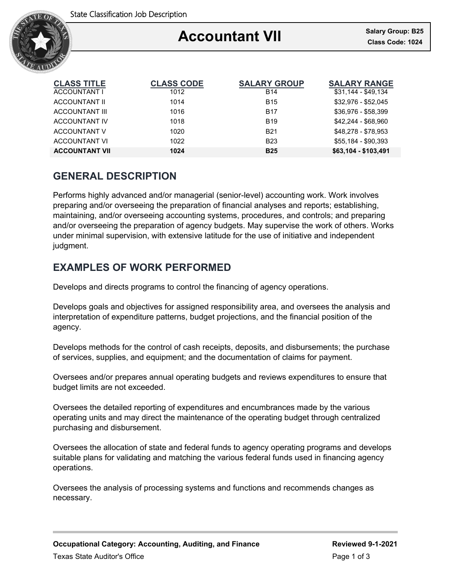

| <b>CLASS TITLE</b>    | <b>CLASS CODE</b> | <b>SALARY GROUP</b> | <b>SALARY RANGE</b>  |
|-----------------------|-------------------|---------------------|----------------------|
| ACCOUNTANT I          | 1012              | <b>B14</b>          | $$31,144 - $49,134$  |
| ACCOUNTANT II         | 1014              | <b>B15</b>          | \$32,976 - \$52,045  |
| <b>ACCOUNTANT III</b> | 1016              | <b>B17</b>          | \$36.976 - \$58.399  |
| <b>ACCOUNTANT IV</b>  | 1018              | <b>B19</b>          | \$42.244 - \$68.960  |
| ACCOUNTANT V          | 1020              | <b>B21</b>          | \$48.278 - \$78.953  |
| <b>ACCOUNTANT VI</b>  | 1022              | <b>B23</b>          | \$55,184 - \$90,393  |
| <b>ACCOUNTANT VII</b> | 1024              | <b>B25</b>          | \$63.104 - \$103.491 |

# **GENERAL DESCRIPTION**

Performs highly advanced and/or managerial (senior-level) accounting work. Work involves preparing and/or overseeing the preparation of financial analyses and reports; establishing, maintaining, and/or overseeing accounting systems, procedures, and controls; and preparing and/or overseeing the preparation of agency budgets. May supervise the work of others. Works under minimal supervision, with extensive latitude for the use of initiative and independent judgment.

# **EXAMPLES OF WORK PERFORMED**

Develops and directs programs to control the financing of agency operations.

Develops goals and objectives for assigned responsibility area, and oversees the analysis and interpretation of expenditure patterns, budget projections, and the financial position of the agency.

Develops methods for the control of cash receipts, deposits, and disbursements; the purchase of services, supplies, and equipment; and the documentation of claims for payment.

Oversees and/or prepares annual operating budgets and reviews expenditures to ensure that budget limits are not exceeded.

Oversees the detailed reporting of expenditures and encumbrances made by the various operating units and may direct the maintenance of the operating budget through centralized purchasing and disbursement.

Oversees the allocation of state and federal funds to agency operating programs and develops suitable plans for validating and matching the various federal funds used in financing agency operations.

Oversees the analysis of processing systems and functions and recommends changes as necessary.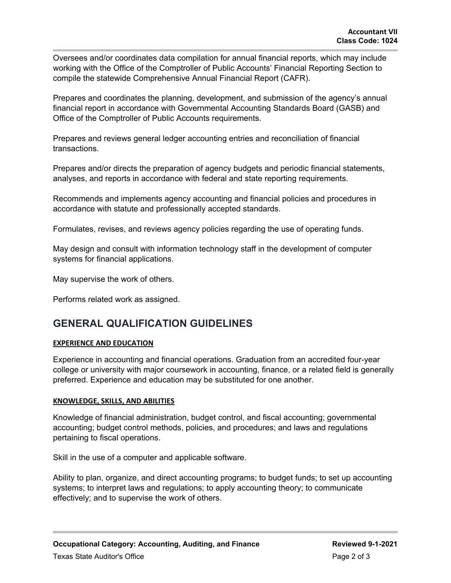Oversees and/or coordinates data compilation for annual financial reports, which may include working with the Office of the Comptroller of Public Accounts' Financial Reporting Section to compile the statewide Comprehensive Annual Financial Report (CAFR).

Prepares and coordinates the planning, development, and submission of the agency's annual financial report in accordance with Governmental Accounting Standards Board (GASB) and Office of the Comptroller of Public Accounts requirements.

Prepares and reviews general ledger accounting entries and reconciliation of financial transactions.

Prepares and/or directs the preparation of agency budgets and periodic financial statements, analyses, and reports in accordance with federal and state reporting requirements.

Recommends and implements agency accounting and financial policies and procedures in accordance with statute and professionally accepted standards.

Formulates, revises, and reviews agency policies regarding the use of operating funds.

May design and consult with information technology staff in the development of computer systems for financial applications.

May supervise the work of others.

Performs related work as assigned.

### **GENERAL QUALIFICATION GUIDELINES**

#### **EXPERIENCE AND EDUCATION**

Experience in accounting and financial operations. Graduation from an accredited four-year college or university with major coursework in accounting, finance, or a related field is generally preferred. Experience and education may be substituted for one another.

#### **KNOWLEDGE, SKILLS, AND ABILITIES**

Knowledge of financial administration, budget control, and fiscal accounting; governmental accounting; budget control methods, policies, and procedures; and laws and regulations pertaining to fiscal operations.

Skill in the use of a computer and applicable software.

Ability to plan, organize, and direct accounting programs; to budget funds; to set up accounting systems; to interpret laws and regulations; to apply accounting theory; to communicate effectively; and to supervise the work of others.